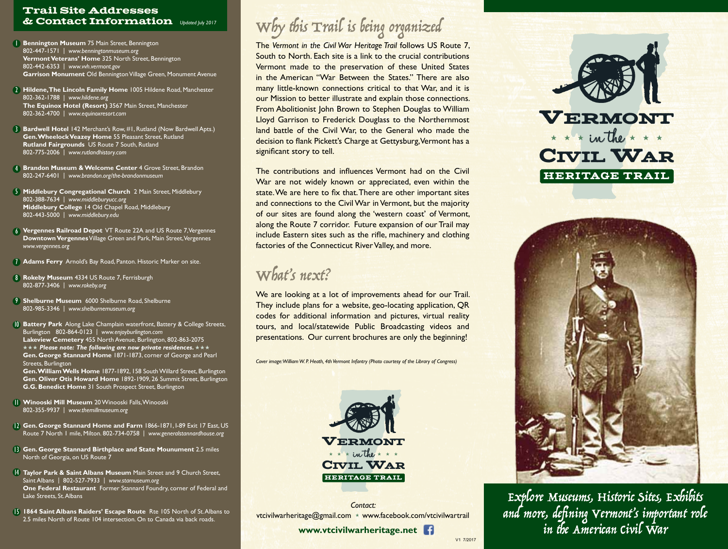#### Trail Site Addresses & Contact Information *Updated July 2017*

- **Bennington Museum** 75 Main Street, Bennington 802-447-1571 | *www.benningtonmuseum.org* **Vermont Veterans' Home** 325 North Street, Bennington 802-442-6353 | *www.vvh.vermont.gov* **Garrison Monument** Old Bennington Village Green, Monument Avenue
- 2 **Hildene, The Lincoln Family Home** 1005 Hildene Road, Manchester 802-362-1788 | *www.hildene.org*  **The Equinox Hotel (Resort)** 3567 Main Street, Manchester 802-362-4700 | *www.equinoxresort.com*
- 3 **Bardwell Hotel** 142 Merchant's Row, #1, Rutland (Now Bardwell Apts.) **Gen. Wheelock Veazey Home** 55 Pleasant Street, Rutland **Rutland Fairgrounds** US Route 7 South, Rutland 802-775-2006 | *www.rutlandhistory.com*
- 4 **Brandon Museum & Welcome Center** 4 Grove Street, Brandon 802-247-6401 | *www.brandon.org/the-brandonmuseum*
- **5 Middlebury Congregational Church** 2 Main Street, Middlebury 802-388-7634 | *www.middleburyucc.org* **Middlebury College** 14 Old Chapel Road, Middlebury 802-443-5000 | *www.middlebury.edu*
- 6 **Vergennes Railroad Depot** VT Route 22A and US Route 7, Vergennes **Downtown Vergennes** Village Green and Park, Main Street, Vergennes *www.vergennes.org*
- 7 **Adams Ferry** Arnold's Bay Road, Panton. Historic Marker on site.
- 8 **Rokeby Museum** 4334 US Route 7, Ferrisburgh 802-877-3406 | *www.rokeby.org*
- 9 **Shelburne Museum** 6000 Shelburne Road, Shelburne 802-985-3346 | *www.shelburnemuseum.org*
- 10 **Battery Park** Along Lake Champlain waterfront, Battery & College Streets, Burlington 802-864-0123 | *www.enjoyburlington.com* **Lakeview Cemetery** 455 North Avenue, Burlington, 802-863-2075  $\star\star\star$  Please note: The following are now private residences.  $\star\star\star$ **Gen. George Stannard Home** 1871-1873, corner of George and Pearl Streets, Burlington **Gen. William Wells Home** 1877-1892, 158 South Willard Street, Burlington

**Gen. Oliver Otis Howard Home** 1892-1909, 26 Summit Street, Burlington **G.G. Benedict Home** 31 South Prospect Street, Burlington

- 11 **Winooski Mill Museum** 20 Winooski Falls, Winooski 802-355-9937 | *www.themillmuseum.org*
- 12 **Gen. George Stannard Home and Farm** 1866-1871, I-89 Exit 17 East, US Route 7 North 1 mile, Milton. 802-734-0758 | *www.generalstannardhouse.org*
- 13 **Gen. George Stannard Birthplace and State Mounument** 2.5 miles North of Georgia, on US Route 7
- 14 **Taylor Park & Saint Albans Museum** Main Street and 9 Church Street, Saint Albans | 802-527-7933 | *www.stamuseum.org* **One Federal Restaurant** Former Stannard Foundry, corner of Federal and Lake Streets, St. Albans
- 15 **1864 Saint Albans Raiders' Escape Route** Rte 105 North of St. Albans to 2.5 miles North of Route 104 intersection. On to Canada via back roads.

# Why this Trail is being organized

The *Vermont in the Civil War Heritage Trail* follows US Route 7, South to North. Each site is a link to the crucial contributions Vermont made to the preservation of these United States in the American "War Between the States." There are also many little-known connections critical to that War, and it is our Mission to better illustrate and explain those connections. From Abolitionist John Brown to Stephen Douglas to William Lloyd Garrison to Frederick Douglass to the Northernmost land battle of the Civil War, to the General who made the decision to flank Pickett's Charge at Gettysburg, Vermont has a significant story to tell.

The contributions and influences Vermont had on the Civil War are not widely known or appreciated, even within the state. We are here to fix that. There are other important sites and connections to the Civil War in Vermont, but the majority of our sites are found along the 'western coast' of Vermont, along the Route 7 corridor. Future expansion of our Trail may include Eastern sites such as the rifle, machinery and clothing factories of the Connecticut River Valley, and more.

## What's next?

We are looking at a lot of improvements ahead for our Trail. They include plans for a website, geo-locating application, QR codes for additional information and pictures, virtual reality tours, and local/statewide Public Broadcasting videos and presentations. Our current brochures are only the beginning!

*Cover image: William W. P. Heath, 4th Vermont Infantry (Photo courtesy of the Library of Congress)*



*Contact:* vtcivilwarheritage@gmail.com \* www.facebook.com/vtcivilwartrail

 **www.vtcivilwarheritage.net** 

V1 7/2017





Explore Museums, Historic Sites, Exhibits and more, defining Vermont's important role in the American Civil War